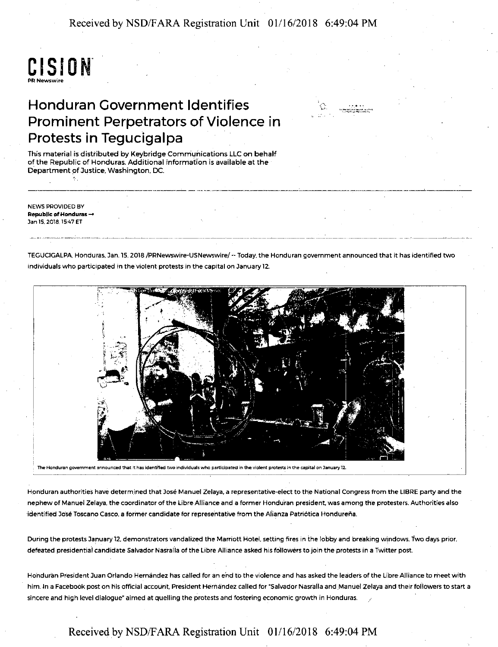Received by NSD/FARA Registration Unit 01/16/2018 6:49:04 PM

# CISION. PR Newswire

## Honduran Government Identifies Prominent Perpetrators of Violence in Protests in Tegucigalpa

This material is distributed by Keybridge Communications LLC on behalf of the Republic of Honduras. Additional information is available at the Department of Justice, Washington, DC.

NEWS PROVIDED BY Republlc of Honduras - Jan 15, 2018, 15:47 ET -·----··-----·--------- .. ···---······· ----~--------------------- -------

TEGUCIGALPA Honduras, Jan.15, 2018 /PRNewswire-USNewswire/ --Today, the Honduran government announced that it has identified two individuals who participated in the violent protests in the capital on January 12.

·-~-, ... ,\_, \_\_ ,.\_., ,, .. ,..,,.~~-,.~·~

-------~---------- --·-----~--·-·-------



The Honduran government announced that it has identified two individuals who participated in the violent protests in the capital on January 12.

Honduran authorities have determined that Jose Manuel Zelaya, a representative-elect to the National Congress from the LIBRE party and the nephew of Manuel Zelaya, the coordinator of the Libre Alliance and a former Honduran president, was among the protesters. Authorities also identified José Toscano Casco, a former candidate for representative from the Alianza Patriótica Hondureña.

During the protests January 12. demonstrators vandalized the Marriott Hotel. setting fires in the lobby and breaking windows. iwo days prior, defeated presidential candidate Salvador Nasralla of the Libre Alliance asked his followers to join the protests in a Twitter post.

Ho'nduran President Juan Orlando Hernandez has called for an ehd to the violence and has asked the leaders of the Libre Alliance to meet with him. In a Facebook post on his official account, President Hernandez called for "Salvador Nasralla and Manuel Zelaya and their followers to start a sincere and high level dialogue" aimed at quelling the protests and fostering economic growth in Honduras.

### Received by NSD/FARA Registration Unit 01/16/2018 6:49:04 PM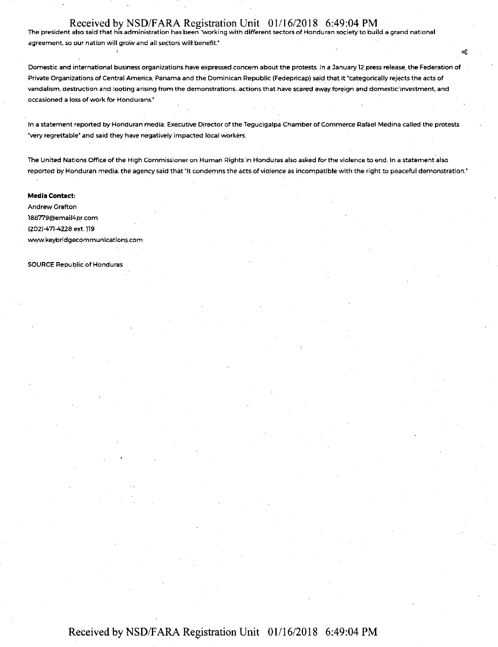### Received by NSD/FARA Registration Unit 01/16/2018 6:49:04 PM

The president also said that his administration has been ''working with different sectors of Honduran society to build a grand national agreement, so our nation will grow and all sectors will benefit."

Domestic and international business organizations have expressed concern about the protests. In a January 12 press release, the Federation of Private Organizations of Central America, Panama and the Dominican Republic (Fedepricap) said that it "categorically rejects the acts of vandalism, destruction and looting arising from the demonstrations .actions that have scared away foreign and domestic'investment, and occasioned a loss of work for Hondurans.~

In a statement reported by Honduran media, Executive Director of the Tegucigalpa Chamber of Commerce Rafael Medina called the protests "very regrettable" and said they have negatively impacted local workers.

The United Nations Office of the High Commissioner on Human Rights in Honduras also asked for the violence to end. In a statement also reported by Honduran media, the agency said that "it condemns the acts of violence as incompatible with the right to peaceful demonstration."

#### **Media Contact:**

Andrew Grafton 188779@email4pr.com (202)-471-4228 ext.119 www.keybridgecommunications.com

SOURCE Republic of Honduras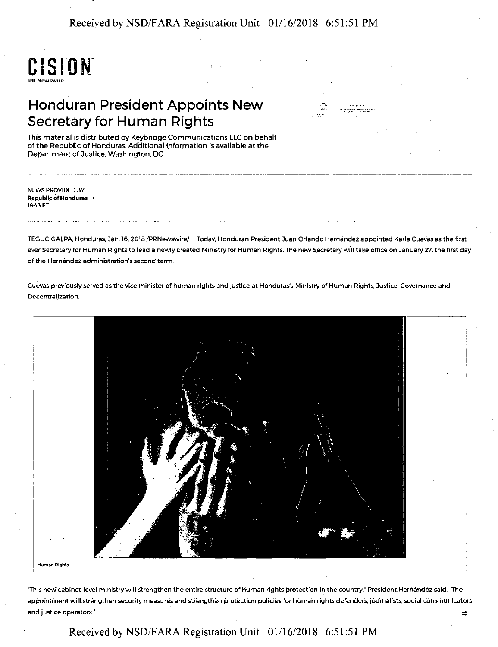Received by NSD/FARA Registration Unit 01/16/2018 6:51:51 PM



## Honduran President Appoints New Secretary for Human Rights



-----------------------· ------~-------

This material is distributed by Keybridge Communications LLC on behalf of the Republic of Honduras. Additional information is available at the Department of Justice, Washington, DC.

NEWS PROVIDED BY Republic of Honduras  $\rightarrow$ 18:43 ET

TEGUCIGALPA. Honduras, Jan. 16, 2018 /PRNewswire/ -- Today, Honduran President Juan Orlando Hernández appointed Karla Cuevas as the first ever Secretary for Human Rights to lead a newly created Ministry for Human Rights. The new Secretary will take office on January 27, the first day of the Hernandez administration's second term.

Cuevas previously served as the vice minister of human rights and justice at Honduras's Ministry of Human Rights, Justice, Governance and Decentralization.



**Human Rights** 

"This new cabinet-level ministry will strengthen the entire structure of human rights protection in the country," President Hernandez said. ''The appointment will strengthen security measures and strengthen protection policies for human rights defenders, journalists, social communicators and justice operators." ~

## Received by NSD/F ARA Registration Unit 01/16/2018 6:51 :51 PM